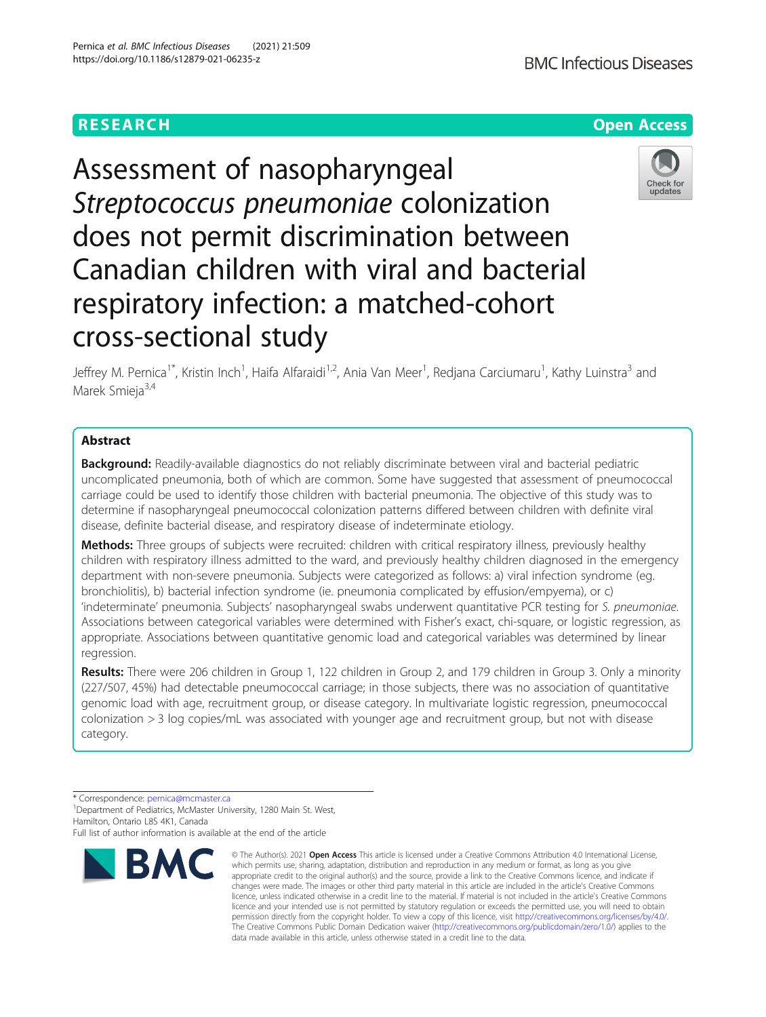

Assessment of nasopharyngeal Streptococcus pneumoniae colonization does not permit discrimination between Canadian children with viral and bacterial respiratory infection: a matched-cohort cross-sectional study

Jeffrey M. Pernica<sup>1\*</sup>, Kristin Inch<sup>1</sup>, Haifa Alfaraidi<sup>1,2</sup>, Ania Van Meer<sup>1</sup>, Redjana Carciumaru<sup>1</sup>, Kathy Luinstra<sup>3</sup> and Marek Smieja<sup>3,4</sup>

# Abstract

**Background:** Readily-available diagnostics do not reliably discriminate between viral and bacterial pediatric uncomplicated pneumonia, both of which are common. Some have suggested that assessment of pneumococcal carriage could be used to identify those children with bacterial pneumonia. The objective of this study was to determine if nasopharyngeal pneumococcal colonization patterns differed between children with definite viral disease, definite bacterial disease, and respiratory disease of indeterminate etiology.

Methods: Three groups of subjects were recruited: children with critical respiratory illness, previously healthy children with respiratory illness admitted to the ward, and previously healthy children diagnosed in the emergency department with non-severe pneumonia. Subjects were categorized as follows: a) viral infection syndrome (eg. bronchiolitis), b) bacterial infection syndrome (ie. pneumonia complicated by effusion/empyema), or c) 'indeterminate' pneumonia. Subjects' nasopharyngeal swabs underwent quantitative PCR testing for S. pneumoniae. Associations between categorical variables were determined with Fisher's exact, chi-square, or logistic regression, as appropriate. Associations between quantitative genomic load and categorical variables was determined by linear regression.

Results: There were 206 children in Group 1, 122 children in Group 2, and 179 children in Group 3. Only a minority (227/507, 45%) had detectable pneumococcal carriage; in those subjects, there was no association of quantitative genomic load with age, recruitment group, or disease category. In multivariate logistic regression, pneumococcal colonization > 3 log copies/mL was associated with younger age and recruitment group, but not with disease category.

\* Correspondence: [pernica@mcmaster.ca](mailto:pernica@mcmaster.ca) <sup>1</sup>

<sup>1</sup> Department of Pediatrics, McMaster University, 1280 Main St. West, Hamilton, Ontario L8S 4K1, Canada

Full list of author information is available at the end of the article



<sup>©</sup> The Author(s), 2021 **Open Access** This article is licensed under a Creative Commons Attribution 4.0 International License, which permits use, sharing, adaptation, distribution and reproduction in any medium or format, as long as you give appropriate credit to the original author(s) and the source, provide a link to the Creative Commons licence, and indicate if changes were made. The images or other third party material in this article are included in the article's Creative Commons licence, unless indicated otherwise in a credit line to the material. If material is not included in the article's Creative Commons licence and your intended use is not permitted by statutory regulation or exceeds the permitted use, you will need to obtain permission directly from the copyright holder. To view a copy of this licence, visit [http://creativecommons.org/licenses/by/4.0/.](http://creativecommons.org/licenses/by/4.0/) The Creative Commons Public Domain Dedication waiver [\(http://creativecommons.org/publicdomain/zero/1.0/](http://creativecommons.org/publicdomain/zero/1.0/)) applies to the data made available in this article, unless otherwise stated in a credit line to the data.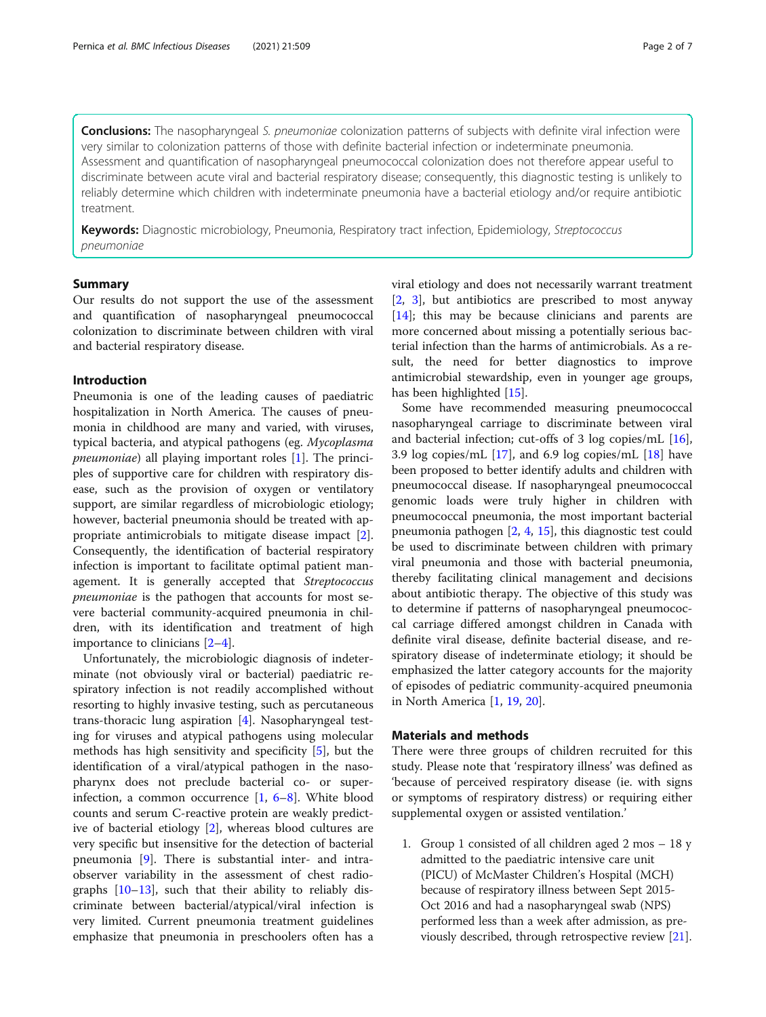Conclusions: The nasopharyngeal S. pneumoniae colonization patterns of subjects with definite viral infection were very similar to colonization patterns of those with definite bacterial infection or indeterminate pneumonia. Assessment and quantification of nasopharyngeal pneumococcal colonization does not therefore appear useful to discriminate between acute viral and bacterial respiratory disease; consequently, this diagnostic testing is unlikely to reliably determine which children with indeterminate pneumonia have a bacterial etiology and/or require antibiotic treatment.

Keywords: Diagnostic microbiology, Pneumonia, Respiratory tract infection, Epidemiology, Streptococcus pneumoniae

## Summary

Our results do not support the use of the assessment and quantification of nasopharyngeal pneumococcal colonization to discriminate between children with viral and bacterial respiratory disease.

## Introduction

Pneumonia is one of the leading causes of paediatric hospitalization in North America. The causes of pneumonia in childhood are many and varied, with viruses, typical bacteria, and atypical pathogens (eg. Mycoplasma *pneumoniae*) all playing important roles  $[1]$  $[1]$ . The principles of supportive care for children with respiratory disease, such as the provision of oxygen or ventilatory support, are similar regardless of microbiologic etiology; however, bacterial pneumonia should be treated with appropriate antimicrobials to mitigate disease impact [\[2](#page-5-0)]. Consequently, the identification of bacterial respiratory infection is important to facilitate optimal patient management. It is generally accepted that Streptococcus pneumoniae is the pathogen that accounts for most severe bacterial community-acquired pneumonia in children, with its identification and treatment of high importance to clinicians [[2](#page-5-0)–[4](#page-6-0)].

Unfortunately, the microbiologic diagnosis of indeterminate (not obviously viral or bacterial) paediatric respiratory infection is not readily accomplished without resorting to highly invasive testing, such as percutaneous trans-thoracic lung aspiration [\[4](#page-6-0)]. Nasopharyngeal testing for viruses and atypical pathogens using molecular methods has high sensitivity and specificity [[5\]](#page-6-0), but the identification of a viral/atypical pathogen in the nasopharynx does not preclude bacterial co- or superinfection, a common occurrence  $[1, 6-8]$  $[1, 6-8]$  $[1, 6-8]$  $[1, 6-8]$  $[1, 6-8]$  $[1, 6-8]$ . White blood counts and serum C-reactive protein are weakly predictive of bacterial etiology [[2\]](#page-5-0), whereas blood cultures are very specific but insensitive for the detection of bacterial pneumonia [[9](#page-6-0)]. There is substantial inter- and intraobserver variability in the assessment of chest radiographs [\[10](#page-6-0)–[13\]](#page-6-0), such that their ability to reliably discriminate between bacterial/atypical/viral infection is very limited. Current pneumonia treatment guidelines emphasize that pneumonia in preschoolers often has a viral etiology and does not necessarily warrant treatment [[2,](#page-5-0) [3](#page-5-0)], but antibiotics are prescribed to most anyway [[14\]](#page-6-0); this may be because clinicians and parents are more concerned about missing a potentially serious bacterial infection than the harms of antimicrobials. As a result, the need for better diagnostics to improve antimicrobial stewardship, even in younger age groups, has been highlighted [\[15](#page-6-0)].

Some have recommended measuring pneumococcal nasopharyngeal carriage to discriminate between viral and bacterial infection; cut-offs of 3 log copies/mL [\[16](#page-6-0)], 3.9 log copies/mL [[17](#page-6-0)], and 6.9 log copies/mL [\[18](#page-6-0)] have been proposed to better identify adults and children with pneumococcal disease. If nasopharyngeal pneumococcal genomic loads were truly higher in children with pneumococcal pneumonia, the most important bacterial pneumonia pathogen [[2,](#page-5-0) [4,](#page-6-0) [15\]](#page-6-0), this diagnostic test could be used to discriminate between children with primary viral pneumonia and those with bacterial pneumonia, thereby facilitating clinical management and decisions about antibiotic therapy. The objective of this study was to determine if patterns of nasopharyngeal pneumococcal carriage differed amongst children in Canada with definite viral disease, definite bacterial disease, and respiratory disease of indeterminate etiology; it should be emphasized the latter category accounts for the majority of episodes of pediatric community-acquired pneumonia in North America [[1,](#page-5-0) [19,](#page-6-0) [20\]](#page-6-0).

## Materials and methods

There were three groups of children recruited for this study. Please note that 'respiratory illness' was defined as 'because of perceived respiratory disease (ie. with signs or symptoms of respiratory distress) or requiring either supplemental oxygen or assisted ventilation.'

1. Group 1 consisted of all children aged 2 mos – 18 y admitted to the paediatric intensive care unit (PICU) of McMaster Children's Hospital (MCH) because of respiratory illness between Sept 2015- Oct 2016 and had a nasopharyngeal swab (NPS) performed less than a week after admission, as previously described, through retrospective review [\[21\]](#page-6-0).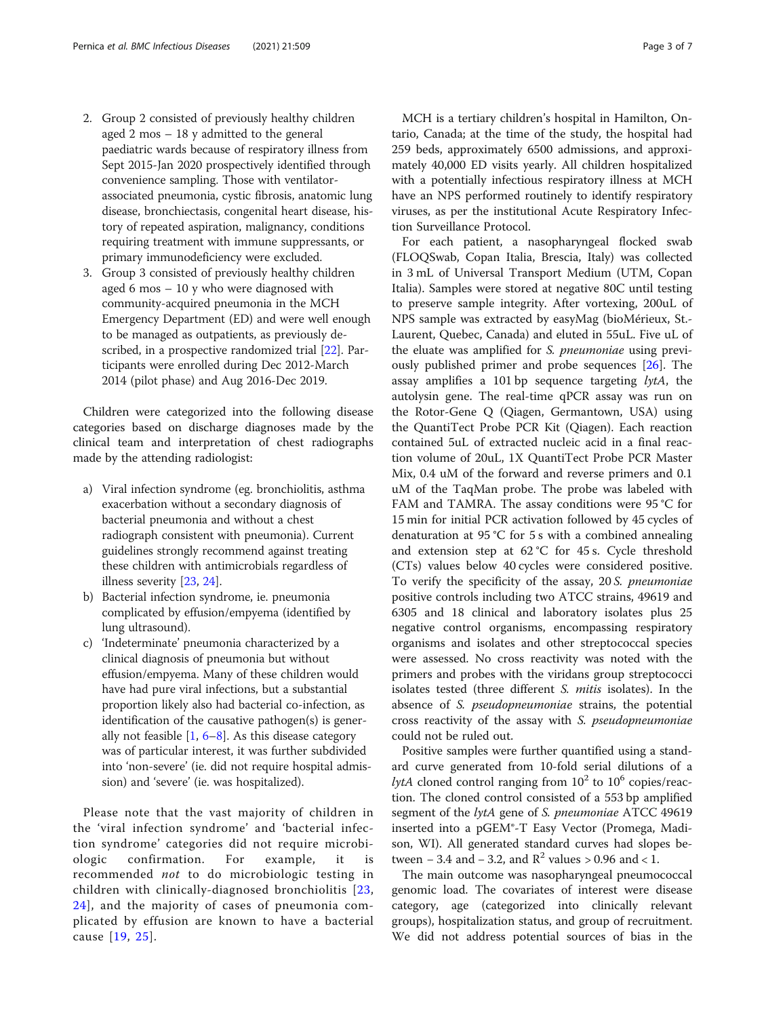- 2. Group 2 consisted of previously healthy children aged 2 mos – 18 y admitted to the general paediatric wards because of respiratory illness from Sept 2015-Jan 2020 prospectively identified through convenience sampling. Those with ventilatorassociated pneumonia, cystic fibrosis, anatomic lung disease, bronchiectasis, congenital heart disease, history of repeated aspiration, malignancy, conditions requiring treatment with immune suppressants, or primary immunodeficiency were excluded.
- 3. Group 3 consisted of previously healthy children aged 6 mos – 10 y who were diagnosed with community-acquired pneumonia in the MCH Emergency Department (ED) and were well enough to be managed as outpatients, as previously described, in a prospective randomized trial [\[22\]](#page-6-0). Participants were enrolled during Dec 2012-March 2014 (pilot phase) and Aug 2016-Dec 2019.

Children were categorized into the following disease categories based on discharge diagnoses made by the clinical team and interpretation of chest radiographs made by the attending radiologist:

- a) Viral infection syndrome (eg. bronchiolitis, asthma exacerbation without a secondary diagnosis of bacterial pneumonia and without a chest radiograph consistent with pneumonia). Current guidelines strongly recommend against treating these children with antimicrobials regardless of illness severity [\[23,](#page-6-0) [24](#page-6-0)].
- b) Bacterial infection syndrome, ie. pneumonia complicated by effusion/empyema (identified by lung ultrasound).
- c) 'Indeterminate' pneumonia characterized by a clinical diagnosis of pneumonia but without effusion/empyema. Many of these children would have had pure viral infections, but a substantial proportion likely also had bacterial co-infection, as identification of the causative pathogen(s) is generally not feasible  $[1, 6-8]$  $[1, 6-8]$  $[1, 6-8]$  $[1, 6-8]$  $[1, 6-8]$  $[1, 6-8]$  $[1, 6-8]$ . As this disease category was of particular interest, it was further subdivided into 'non-severe' (ie. did not require hospital admission) and 'severe' (ie. was hospitalized).

Please note that the vast majority of children in the 'viral infection syndrome' and 'bacterial infection syndrome' categories did not require microbiologic confirmation. For example, it is recommended not to do microbiologic testing in children with clinically-diagnosed bronchiolitis [[23](#page-6-0), [24](#page-6-0)], and the majority of cases of pneumonia complicated by effusion are known to have a bacterial cause [\[19,](#page-6-0) [25](#page-6-0)].

MCH is a tertiary children's hospital in Hamilton, Ontario, Canada; at the time of the study, the hospital had 259 beds, approximately 6500 admissions, and approximately 40,000 ED visits yearly. All children hospitalized with a potentially infectious respiratory illness at MCH have an NPS performed routinely to identify respiratory viruses, as per the institutional Acute Respiratory Infection Surveillance Protocol.

For each patient, a nasopharyngeal flocked swab (FLOQSwab, Copan Italia, Brescia, Italy) was collected in 3 mL of Universal Transport Medium (UTM, Copan Italia). Samples were stored at negative 80C until testing to preserve sample integrity. After vortexing, 200uL of NPS sample was extracted by easyMag (bioMérieux, St.- Laurent, Quebec, Canada) and eluted in 55uL. Five uL of the eluate was amplified for S. pneumoniae using previously published primer and probe sequences [[26\]](#page-6-0). The assay amplifies a 101 bp sequence targeting  $lytA$ , the autolysin gene. The real-time qPCR assay was run on the Rotor-Gene Q (Qiagen, Germantown, USA) using the QuantiTect Probe PCR Kit (Qiagen). Each reaction contained 5uL of extracted nucleic acid in a final reaction volume of 20uL, 1X QuantiTect Probe PCR Master Mix, 0.4 uM of the forward and reverse primers and 0.1 uM of the TaqMan probe. The probe was labeled with FAM and TAMRA. The assay conditions were 95 °C for 15 min for initial PCR activation followed by 45 cycles of denaturation at 95 °C for 5 s with a combined annealing and extension step at 62 °C for 45 s. Cycle threshold (CTs) values below 40 cycles were considered positive. To verify the specificity of the assay, 20 S. pneumoniae positive controls including two ATCC strains, 49619 and 6305 and 18 clinical and laboratory isolates plus 25 negative control organisms, encompassing respiratory organisms and isolates and other streptococcal species were assessed. No cross reactivity was noted with the primers and probes with the viridans group streptococci isolates tested (three different S. mitis isolates). In the absence of S. pseudopneumoniae strains, the potential cross reactivity of the assay with S. pseudopneumoniae could not be ruled out.

Positive samples were further quantified using a standard curve generated from 10-fold serial dilutions of a lytA cloned control ranging from  $10^2$  to  $10^6$  copies/reaction. The cloned control consisted of a 553 bp amplified segment of the lytA gene of S. pneumoniae ATCC 49619 inserted into a pGEM®-T Easy Vector (Promega, Madison, WI). All generated standard curves had slopes between – 3.4 and – 3.2, and  $R^2$  values > 0.96 and < 1.

The main outcome was nasopharyngeal pneumococcal genomic load. The covariates of interest were disease category, age (categorized into clinically relevant groups), hospitalization status, and group of recruitment. We did not address potential sources of bias in the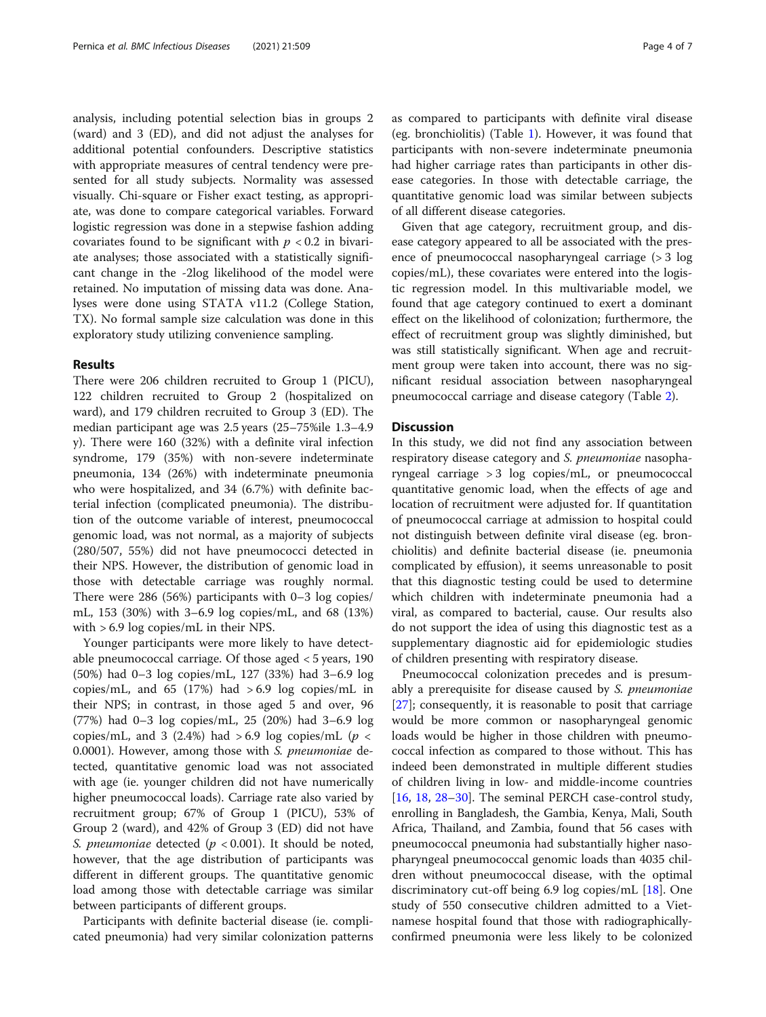analysis, including potential selection bias in groups 2 (ward) and 3 (ED), and did not adjust the analyses for additional potential confounders. Descriptive statistics with appropriate measures of central tendency were presented for all study subjects. Normality was assessed visually. Chi-square or Fisher exact testing, as appropriate, was done to compare categorical variables. Forward logistic regression was done in a stepwise fashion adding covariates found to be significant with  $p < 0.2$  in bivariate analyses; those associated with a statistically significant change in the -2log likelihood of the model were retained. No imputation of missing data was done. Analyses were done using STATA v11.2 (College Station, TX). No formal sample size calculation was done in this exploratory study utilizing convenience sampling.

## Results

There were 206 children recruited to Group 1 (PICU), 122 children recruited to Group 2 (hospitalized on ward), and 179 children recruited to Group 3 (ED). The median participant age was 2.5 years (25–75%ile 1.3–4.9 y). There were 160 (32%) with a definite viral infection syndrome, 179 (35%) with non-severe indeterminate pneumonia, 134 (26%) with indeterminate pneumonia who were hospitalized, and 34 (6.7%) with definite bacterial infection (complicated pneumonia). The distribution of the outcome variable of interest, pneumococcal genomic load, was not normal, as a majority of subjects (280/507, 55%) did not have pneumococci detected in their NPS. However, the distribution of genomic load in those with detectable carriage was roughly normal. There were 286 (56%) participants with 0–3 log copies/ mL, 153 (30%) with 3–6.9 log copies/mL, and 68 (13%) with > 6.9 log copies/mL in their NPS.

Younger participants were more likely to have detectable pneumococcal carriage. Of those aged < 5 years, 190 (50%) had 0–3 log copies/mL, 127 (33%) had 3–6.9 log copies/mL, and  $65$  (17%) had  $>6.9$  log copies/mL in their NPS; in contrast, in those aged 5 and over, 96 (77%) had 0–3 log copies/mL, 25 (20%) had 3–6.9 log copies/mL, and 3 (2.4%) had > 6.9 log copies/mL ( $p <$ 0.0001). However, among those with S. pneumoniae detected, quantitative genomic load was not associated with age (ie. younger children did not have numerically higher pneumococcal loads). Carriage rate also varied by recruitment group; 67% of Group 1 (PICU), 53% of Group 2 (ward), and 42% of Group 3 (ED) did not have S. pneumoniae detected ( $p < 0.001$ ). It should be noted, however, that the age distribution of participants was different in different groups. The quantitative genomic load among those with detectable carriage was similar between participants of different groups.

Participants with definite bacterial disease (ie. complicated pneumonia) had very similar colonization patterns as compared to participants with definite viral disease (eg. bronchiolitis) (Table [1\)](#page-4-0). However, it was found that participants with non-severe indeterminate pneumonia had higher carriage rates than participants in other disease categories. In those with detectable carriage, the quantitative genomic load was similar between subjects of all different disease categories.

Given that age category, recruitment group, and disease category appeared to all be associated with the presence of pneumococcal nasopharyngeal carriage (> 3 log copies/mL), these covariates were entered into the logistic regression model. In this multivariable model, we found that age category continued to exert a dominant effect on the likelihood of colonization; furthermore, the effect of recruitment group was slightly diminished, but was still statistically significant. When age and recruitment group were taken into account, there was no significant residual association between nasopharyngeal pneumococcal carriage and disease category (Table [2](#page-4-0)).

## **Discussion**

In this study, we did not find any association between respiratory disease category and S. pneumoniae nasopharyngeal carriage > 3 log copies/mL, or pneumococcal quantitative genomic load, when the effects of age and location of recruitment were adjusted for. If quantitation of pneumococcal carriage at admission to hospital could not distinguish between definite viral disease (eg. bronchiolitis) and definite bacterial disease (ie. pneumonia complicated by effusion), it seems unreasonable to posit that this diagnostic testing could be used to determine which children with indeterminate pneumonia had a viral, as compared to bacterial, cause. Our results also do not support the idea of using this diagnostic test as a supplementary diagnostic aid for epidemiologic studies of children presenting with respiratory disease.

Pneumococcal colonization precedes and is presumably a prerequisite for disease caused by S. pneumoniae [[27\]](#page-6-0); consequently, it is reasonable to posit that carriage would be more common or nasopharyngeal genomic loads would be higher in those children with pneumococcal infection as compared to those without. This has indeed been demonstrated in multiple different studies of children living in low- and middle-income countries [[16,](#page-6-0) [18,](#page-6-0) [28](#page-6-0)–[30\]](#page-6-0). The seminal PERCH case-control study, enrolling in Bangladesh, the Gambia, Kenya, Mali, South Africa, Thailand, and Zambia, found that 56 cases with pneumococcal pneumonia had substantially higher nasopharyngeal pneumococcal genomic loads than 4035 children without pneumococcal disease, with the optimal discriminatory cut-off being 6.9 log copies/mL [[18\]](#page-6-0). One study of 550 consecutive children admitted to a Vietnamese hospital found that those with radiographicallyconfirmed pneumonia were less likely to be colonized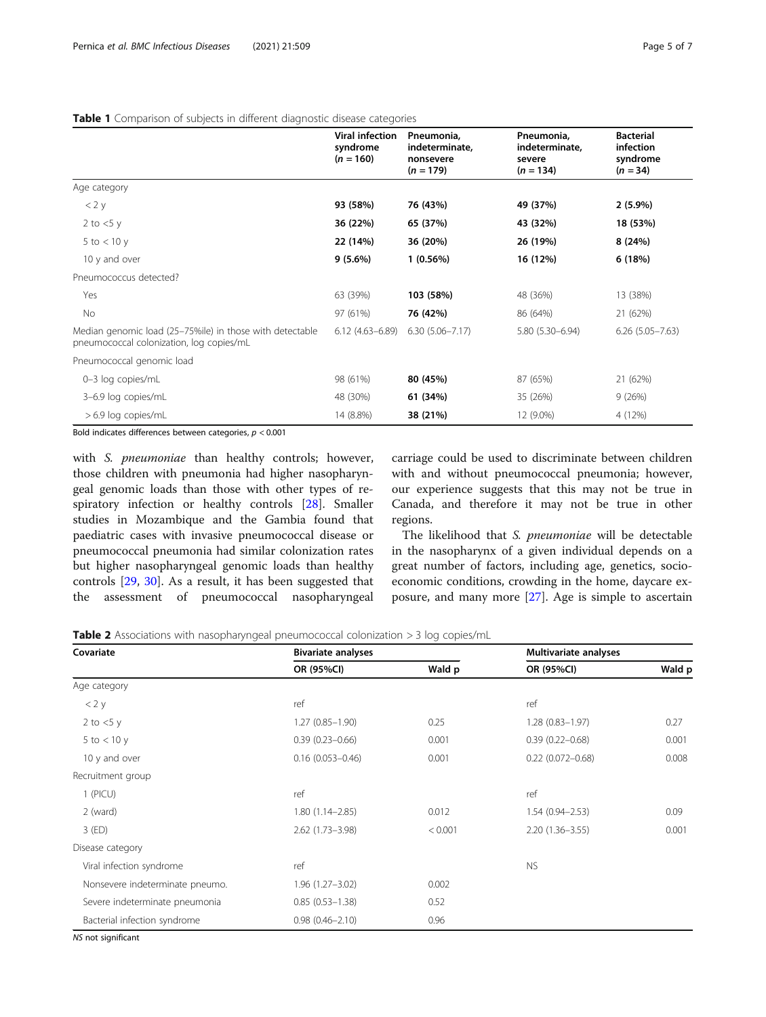## <span id="page-4-0"></span>Table 1 Comparison of subjects in different diagnostic disease categories

|                                                                                                      | Viral infection<br>syndrome<br>$(n = 160)$ | Pneumonia,<br>indeterminate,<br>nonsevere<br>$(n = 179)$ | Pneumonia,<br>indeterminate,<br>severe<br>$(n = 134)$ | <b>Bacterial</b><br>infection<br>syndrome<br>$(n = 34)$ |
|------------------------------------------------------------------------------------------------------|--------------------------------------------|----------------------------------------------------------|-------------------------------------------------------|---------------------------------------------------------|
| Age category                                                                                         |                                            |                                                          |                                                       |                                                         |
| $<$ 2 y                                                                                              | 93 (58%)                                   | 76 (43%)                                                 | 49 (37%)                                              | $2(5.9\%)$                                              |
| 2 to $<$ 5 y                                                                                         | 36 (22%)                                   | 65 (37%)                                                 | 43 (32%)                                              | 18 (53%)                                                |
| 5 to $<$ 10 y                                                                                        | 22 (14%)                                   | 36 (20%)                                                 | 26 (19%)                                              | 8(24%)                                                  |
| 10 y and over                                                                                        | 9(5.6%)                                    | 1(0.56%)                                                 | 16 (12%)                                              | 6(18%)                                                  |
| Pneumococcus detected?                                                                               |                                            |                                                          |                                                       |                                                         |
| Yes                                                                                                  | 63 (39%)                                   | 103 (58%)                                                | 48 (36%)                                              | 13 (38%)                                                |
| No                                                                                                   | 97 (61%)                                   | 76 (42%)                                                 | 86 (64%)                                              | 21 (62%)                                                |
| Median genomic load (25-75%ile) in those with detectable<br>pneumococcal colonization, log copies/mL | $6.12(4.63 - 6.89)$                        | $6.30(5.06 - 7.17)$                                      | $5.80(5.30 - 6.94)$                                   | $6.26(5.05 - 7.63)$                                     |
| Pneumococcal genomic load                                                                            |                                            |                                                          |                                                       |                                                         |
| 0-3 log copies/mL                                                                                    | 98 (61%)                                   | 80 (45%)                                                 | 87 (65%)                                              | 21 (62%)                                                |
| 3-6.9 log copies/mL                                                                                  | 48 (30%)                                   | 61 (34%)                                                 | 35 (26%)                                              | 9(26%)                                                  |
| > 6.9 log copies/mL                                                                                  | 14 (8.8%)                                  | 38 (21%)                                                 | 12 (9.0%)                                             | 4 (12%)                                                 |

Bold indicates differences between categories,  $p < 0.001$ 

with S. pneumoniae than healthy controls; however, those children with pneumonia had higher nasopharyngeal genomic loads than those with other types of respiratory infection or healthy controls [[28\]](#page-6-0). Smaller studies in Mozambique and the Gambia found that paediatric cases with invasive pneumococcal disease or pneumococcal pneumonia had similar colonization rates but higher nasopharyngeal genomic loads than healthy controls [[29,](#page-6-0) [30](#page-6-0)]. As a result, it has been suggested that the assessment of pneumococcal nasopharyngeal carriage could be used to discriminate between children with and without pneumococcal pneumonia; however, our experience suggests that this may not be true in Canada, and therefore it may not be true in other regions.

The likelihood that S. pneumoniae will be detectable in the nasopharynx of a given individual depends on a great number of factors, including age, genetics, socioeconomic conditions, crowding in the home, daycare exposure, and many more [\[27](#page-6-0)]. Age is simple to ascertain

**Table 2** Associations with nasopharyngeal pneumococcal colonization > 3 log copies/mL

| Covariate                       | <b>Bivariate analyses</b> |         | Multivariate analyses |        |
|---------------------------------|---------------------------|---------|-----------------------|--------|
|                                 | OR (95%CI)                | Wald p  | OR (95%CI)            | Wald p |
| Age category                    |                           |         |                       |        |
| $<$ 2 y                         | ref                       |         | ref                   |        |
| 2 to $<$ 5 y                    | $1.27(0.85 - 1.90)$       | 0.25    | $1.28(0.83 - 1.97)$   | 0.27   |
| 5 to $<$ 10 y                   | $0.39(0.23 - 0.66)$       | 0.001   | $0.39(0.22 - 0.68)$   | 0.001  |
| 10 y and over                   | $0.16(0.053 - 0.46)$      | 0.001   | $0.22(0.072 - 0.68)$  | 0.008  |
| Recruitment group               |                           |         |                       |        |
| $1$ (PICU)                      | ref                       |         | ref                   |        |
| 2 (ward)                        | $1.80(1.14 - 2.85)$       | 0.012   | $1.54(0.94 - 2.53)$   | 0.09   |
| $3$ (ED)                        | 2.62 (1.73-3.98)          | < 0.001 | $2.20(1.36 - 3.55)$   | 0.001  |
| Disease category                |                           |         |                       |        |
| Viral infection syndrome        | ref                       |         | <b>NS</b>             |        |
| Nonsevere indeterminate pneumo. | $1.96(1.27 - 3.02)$       | 0.002   |                       |        |
| Severe indeterminate pneumonia  | $0.85(0.53 - 1.38)$       | 0.52    |                       |        |
| Bacterial infection syndrome    | $0.98(0.46 - 2.10)$       | 0.96    |                       |        |

NS not significant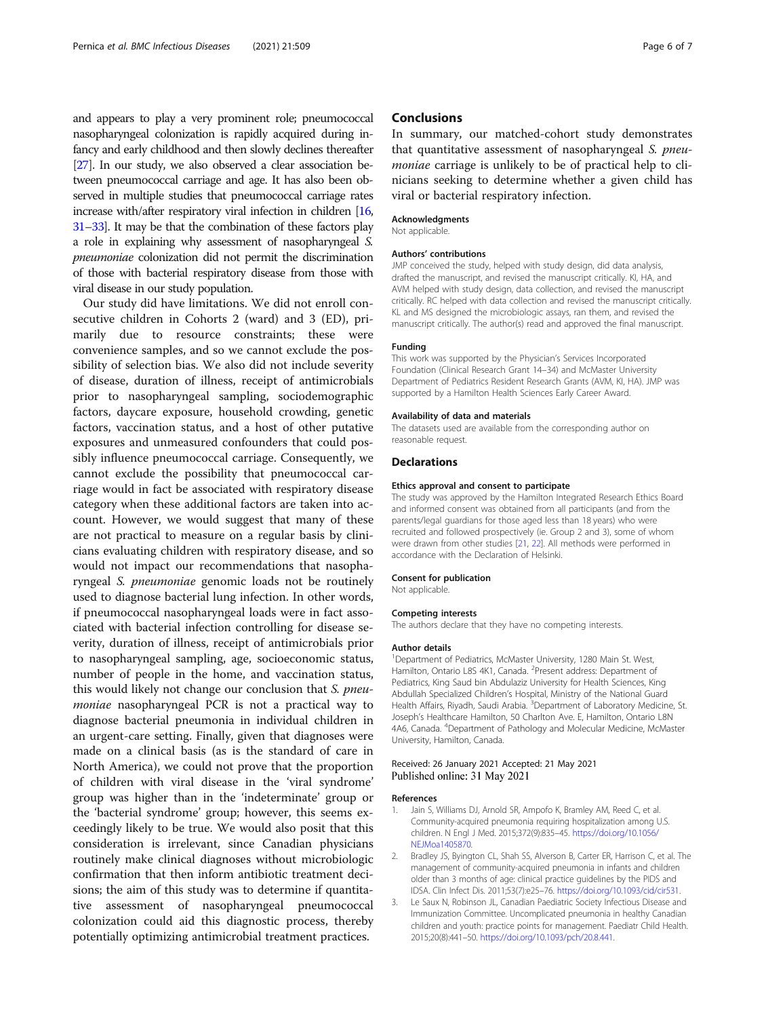<span id="page-5-0"></span>and appears to play a very prominent role; pneumococcal nasopharyngeal colonization is rapidly acquired during infancy and early childhood and then slowly declines thereafter [[27\]](#page-6-0). In our study, we also observed a clear association between pneumococcal carriage and age. It has also been observed in multiple studies that pneumococcal carriage rates increase with/after respiratory viral infection in children [\[16](#page-6-0), [31](#page-6-0)–[33\]](#page-6-0). It may be that the combination of these factors play a role in explaining why assessment of nasopharyngeal S. pneumoniae colonization did not permit the discrimination of those with bacterial respiratory disease from those with viral disease in our study population.

Our study did have limitations. We did not enroll consecutive children in Cohorts 2 (ward) and 3 (ED), primarily due to resource constraints; these were convenience samples, and so we cannot exclude the possibility of selection bias. We also did not include severity of disease, duration of illness, receipt of antimicrobials prior to nasopharyngeal sampling, sociodemographic factors, daycare exposure, household crowding, genetic factors, vaccination status, and a host of other putative exposures and unmeasured confounders that could possibly influence pneumococcal carriage. Consequently, we cannot exclude the possibility that pneumococcal carriage would in fact be associated with respiratory disease category when these additional factors are taken into account. However, we would suggest that many of these are not practical to measure on a regular basis by clinicians evaluating children with respiratory disease, and so would not impact our recommendations that nasopharyngeal S. pneumoniae genomic loads not be routinely used to diagnose bacterial lung infection. In other words, if pneumococcal nasopharyngeal loads were in fact associated with bacterial infection controlling for disease severity, duration of illness, receipt of antimicrobials prior to nasopharyngeal sampling, age, socioeconomic status, number of people in the home, and vaccination status, this would likely not change our conclusion that S. pneumoniae nasopharyngeal PCR is not a practical way to diagnose bacterial pneumonia in individual children in an urgent-care setting. Finally, given that diagnoses were made on a clinical basis (as is the standard of care in North America), we could not prove that the proportion of children with viral disease in the 'viral syndrome' group was higher than in the 'indeterminate' group or the 'bacterial syndrome' group; however, this seems exceedingly likely to be true. We would also posit that this consideration is irrelevant, since Canadian physicians routinely make clinical diagnoses without microbiologic confirmation that then inform antibiotic treatment decisions; the aim of this study was to determine if quantitative assessment of nasopharyngeal pneumococcal colonization could aid this diagnostic process, thereby potentially optimizing antimicrobial treatment practices.

## **Conclusions**

In summary, our matched-cohort study demonstrates that quantitative assessment of nasopharyngeal S. pneumoniae carriage is unlikely to be of practical help to clinicians seeking to determine whether a given child has viral or bacterial respiratory infection.

#### Acknowledgments

Not applicable.

#### Authors' contributions

JMP conceived the study, helped with study design, did data analysis, drafted the manuscript, and revised the manuscript critically. KI, HA, and AVM helped with study design, data collection, and revised the manuscript critically. RC helped with data collection and revised the manuscript critically. KL and MS designed the microbiologic assays, ran them, and revised the manuscript critically. The author(s) read and approved the final manuscript.

#### Funding

This work was supported by the Physician's Services Incorporated Foundation (Clinical Research Grant 14–34) and McMaster University Department of Pediatrics Resident Research Grants (AVM, KI, HA). JMP was supported by a Hamilton Health Sciences Early Career Award.

#### Availability of data and materials

The datasets used are available from the corresponding author on reasonable request.

## **Declarations**

## Ethics approval and consent to participate

The study was approved by the Hamilton Integrated Research Ethics Board and informed consent was obtained from all participants (and from the parents/legal guardians for those aged less than 18 years) who were recruited and followed prospectively (ie. Group 2 and 3), some of whom were drawn from other studies [[21](#page-6-0), [22\]](#page-6-0). All methods were performed in accordance with the Declaration of Helsinki.

#### Consent for publication

Not applicable.

#### Competing interests

The authors declare that they have no competing interests.

#### Author details

<sup>1</sup>Department of Pediatrics, McMaster University, 1280 Main St. West, Hamilton, Ontario L8S 4K1, Canada. <sup>2</sup>Present address: Department of Pediatrics, King Saud bin Abdulaziz University for Health Sciences, King Abdullah Specialized Children's Hospital, Ministry of the National Guard Health Affairs, Riyadh, Saudi Arabia. <sup>3</sup>Department of Laboratory Medicine, St. Joseph's Healthcare Hamilton, 50 Charlton Ave. E, Hamilton, Ontario L8N 4A6, Canada. <sup>4</sup>Department of Pathology and Molecular Medicine, McMaster University, Hamilton, Canada.

### Received: 26 January 2021 Accepted: 21 May 2021 Published online: 31 May 2021

### References

- Jain S, Williams DJ, Arnold SR, Ampofo K, Bramley AM, Reed C, et al. Community-acquired pneumonia requiring hospitalization among U.S. children. N Engl J Med. 2015;372(9):835–45. [https://doi.org/10.1056/](https://doi.org/10.1056/NEJMoa1405870) [NEJMoa1405870](https://doi.org/10.1056/NEJMoa1405870).
- 2. Bradley JS, Byington CL, Shah SS, Alverson B, Carter ER, Harrison C, et al. The management of community-acquired pneumonia in infants and children older than 3 months of age: clinical practice guidelines by the PIDS and IDSA. Clin Infect Dis. 2011;53(7):e25–76. <https://doi.org/10.1093/cid/cir531>.
- 3. Le Saux N, Robinson JL, Canadian Paediatric Society Infectious Disease and Immunization Committee. Uncomplicated pneumonia in healthy Canadian children and youth: practice points for management. Paediatr Child Health. 2015;20(8):441–50. [https://doi.org/10.1093/pch/20.8.441.](https://doi.org/10.1093/pch/20.8.441)